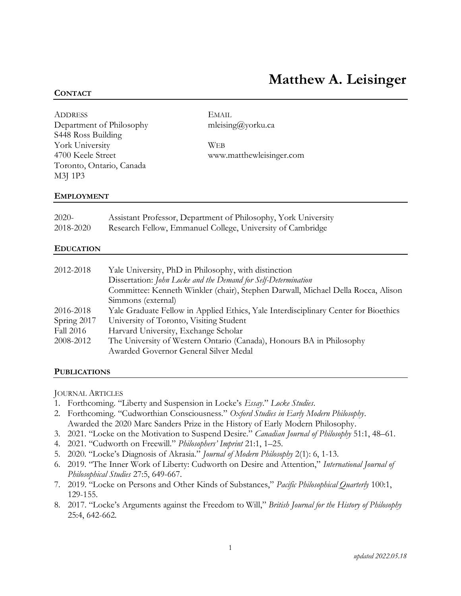# **Matthew A. Leisinger**

### **CONTACT**

| <b>ADDRESS</b>           | EMAIL                    |  |
|--------------------------|--------------------------|--|
| Department of Philosophy | mleising@yorku.ca        |  |
| S448 Ross Building       |                          |  |
| York University          | <b>WEB</b>               |  |
| 4700 Keele Street        | www.matthewleisinger.com |  |
| Toronto, Ontario, Canada |                          |  |
| M3J 1P3                  |                          |  |
|                          |                          |  |

### **EMPLOYMENT**

| $2020-$   | Assistant Professor, Department of Philosophy, York University |
|-----------|----------------------------------------------------------------|
| 2018-2020 | Research Fellow, Emmanuel College, University of Cambridge     |

### **EDUCATION**

| 2012-2018   | Yale University, PhD in Philosophy, with distinction                                |
|-------------|-------------------------------------------------------------------------------------|
|             | Dissertation: John Locke and the Demand for Self-Determination                      |
|             | Committee: Kenneth Winkler (chair), Stephen Darwall, Michael Della Rocca, Alison    |
|             | Simmons (external)                                                                  |
| 2016-2018   | Yale Graduate Fellow in Applied Ethics, Yale Interdisciplinary Center for Bioethics |
| Spring 2017 | University of Toronto, Visiting Student                                             |
| Fall 2016   | Harvard University, Exchange Scholar                                                |
| 2008-2012   | The University of Western Ontario (Canada), Honours BA in Philosophy                |
|             | Awarded Governor General Silver Medal                                               |

#### **PUBLICATIONS**

JOURNAL ARTICLES

- 1. Forthcoming. "Liberty and Suspension in Locke's *Essay*." *Locke Studies*.
- 2. Forthcoming. "Cudworthian Consciousness." *Oxford Studies in Early Modern Philosophy*. Awarded the 2020 Marc Sanders Prize in the History of Early Modern Philosophy.
- 3. 2021. "Locke on the Motivation to Suspend Desire." *Canadian Journal of Philosophy* 51:1, 48–61.
- 4. 2021. "Cudworth on Freewill." *Philosophers' Imprint* 21:1, 1–25.
- 5. 2020. "Locke's Diagnosis of Akrasia." *Journal of Modern Philosophy* 2(1): 6, 1-13.
- 6. 2019. "The Inner Work of Liberty: Cudworth on Desire and Attention," *International Journal of Philosophical Studies* 27:5, 649-667.
- 7. 2019. "Locke on Persons and Other Kinds of Substances," *Pacific Philosophical Quarterly* 100:1, 129-155.
- 8. 2017. "Locke's Arguments against the Freedom to Will," *British Journal for the History of Philosophy* 25:4, 642-662.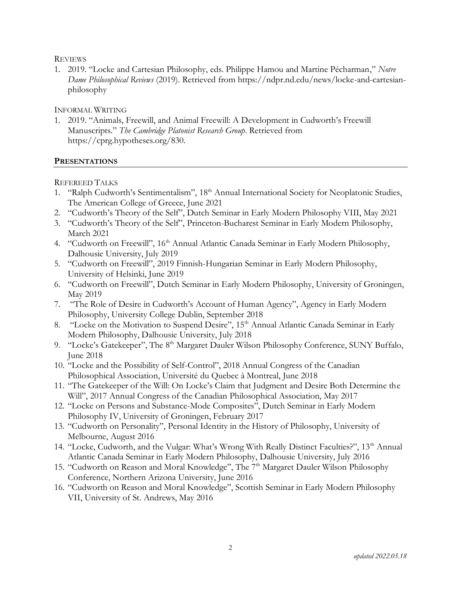# **REVIEWS**

1. 2019. "Locke and Cartesian Philosophy, eds. Philippe Hamou and Martine Pécharman," *Notre Dame Philosophical Reviews* (2019). Retrieved from https://ndpr.nd.edu/news/locke-and-cartesianphilosophy

# INFORMAL WRITING

1. 2019. "Animals, Freewill, and Animal Freewill: A Development in Cudworth's Freewill Manuscripts." *The Cambridge Platonist Research Group*. Retrieved from https://cprg.hypotheses.org/830.

# **PRESENTATIONS**

REFEREED TALKS

- 1. "Ralph Cudworth's Sentimentalism", 18<sup>th</sup> Annual International Society for Neoplatonic Studies, The American College of Greece, June 2021
- 2. "Cudworth's Theory of the Self", Dutch Seminar in Early Modern Philosophy VIII, May 2021
- 3. "Cudworth's Theory of the Self", Princeton-Bucharest Seminar in Early Modern Philosophy, March 2021
- 4. "Cudworth on Freewill", 16<sup>th</sup> Annual Atlantic Canada Seminar in Early Modern Philosophy, Dalhousie University, July 2019
- 5. "Cudworth on Freewill", 2019 Finnish-Hungarian Seminar in Early Modern Philosophy, University of Helsinki, June 2019
- 6. "Cudworth on Freewill", Dutch Seminar in Early Modern Philosophy, University of Groningen, May 2019
- 7. "The Role of Desire in Cudworth's Account of Human Agency", Agency in Early Modern Philosophy, University College Dublin, September 2018
- 8. "Locke on the Motivation to Suspend Desire", 15<sup>th</sup> Annual Atlantic Canada Seminar in Early Modern Philosophy, Dalhousie University, July 2018
- 9. "Locke's Gatekeeper", The 8<sup>th</sup> Margaret Dauler Wilson Philosophy Conference, SUNY Buffalo, June 2018
- 10. "Locke and the Possibility of Self-Control", 2018 Annual Congress of the Canadian Philosophical Association, Université du Quebec à Montreal, June 2018
- 11. "The Gatekeeper of the Will: On Locke's Claim that Judgment and Desire Both Determine the Will", 2017 Annual Congress of the Canadian Philosophical Association, May 2017
- 12. "Locke on Persons and Substance-Mode Composites", Dutch Seminar in Early Modern Philosophy IV, University of Groningen, February 2017
- 13. "Cudworth on Personality", Personal Identity in the History of Philosophy, University of Melbourne, August 2016
- 14. "Locke, Cudworth, and the Vulgar: What's Wrong With Really Distinct Faculties?", 13<sup>th</sup> Annual Atlantic Canada Seminar in Early Modern Philosophy, Dalhousie University, July 2016
- 15. "Cudworth on Reason and Moral Knowledge", The 7<sup>th</sup> Margaret Dauler Wilson Philosophy Conference, Northern Arizona University, June 2016
- 16. "Cudworth on Reason and Moral Knowledge", Scottish Seminar in Early Modern Philosophy VII, University of St. Andrews, May 2016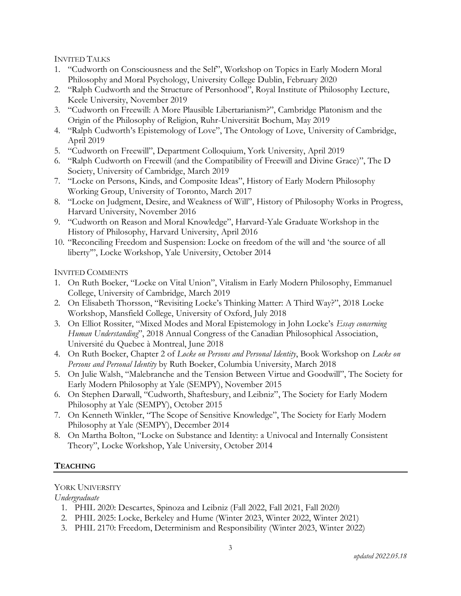INVITED TALKS

- 1. "Cudworth on Consciousness and the Self", Workshop on Topics in Early Modern Moral Philosophy and Moral Psychology, University College Dublin, February 2020
- 2. "Ralph Cudworth and the Structure of Personhood", Royal Institute of Philosophy Lecture, Keele University, November 2019
- 3. "Cudworth on Freewill: A More Plausible Libertarianism?", Cambridge Platonism and the Origin of the Philosophy of Religion, Ruhr-Universität Bochum, May 2019
- 4. "Ralph Cudworth's Epistemology of Love", The Ontology of Love, University of Cambridge, April 2019
- 5. "Cudworth on Freewill", Department Colloquium, York University, April 2019
- 6. "Ralph Cudworth on Freewill (and the Compatibility of Freewill and Divine Grace)", The D Society, University of Cambridge, March 2019
- 7. "Locke on Persons, Kinds, and Composite Ideas", History of Early Modern Philosophy Working Group, University of Toronto, March 2017
- 8. "Locke on Judgment, Desire, and Weakness of Will", History of Philosophy Works in Progress, Harvard University, November 2016
- 9. "Cudworth on Reason and Moral Knowledge", Harvard-Yale Graduate Workshop in the History of Philosophy, Harvard University, April 2016
- 10. "Reconciling Freedom and Suspension: Locke on freedom of the will and 'the source of all liberty'", Locke Workshop, Yale University, October 2014

INVITED COMMENTS

- 1. On Ruth Boeker, "Locke on Vital Union", Vitalism in Early Modern Philosophy, Emmanuel College, University of Cambridge, March 2019
- 2. On Elisabeth Thorsson, "Revisiting Locke's Thinking Matter: A Third Way?", 2018 Locke Workshop, Mansfield College, University of Oxford, July 2018
- 3. On Elliot Rossiter, "Mixed Modes and Moral Epistemology in John Locke's *Essay concerning Human Understanding*", 2018 Annual Congress of the Canadian Philosophical Association, Université du Quebec à Montreal, June 2018
- 4. On Ruth Boeker, Chapter 2 of *Locke on Persons and Personal Identity*, Book Workshop on *Locke on Persons and Personal Identity* by Ruth Boeker, Columbia University, March 2018
- 5. On Julie Walsh, "Malebranche and the Tension Between Virtue and Goodwill", The Society for Early Modern Philosophy at Yale (SEMPY), November 2015
- 6. On Stephen Darwall, "Cudworth, Shaftesbury, and Leibniz", The Society for Early Modern Philosophy at Yale (SEMPY), October 2015
- 7. On Kenneth Winkler, "The Scope of Sensitive Knowledge", The Society for Early Modern Philosophy at Yale (SEMPY), December 2014
- 8. On Martha Bolton, "Locke on Substance and Identity: a Univocal and Internally Consistent Theory", Locke Workshop, Yale University, October 2014

# **TEACHING**

# YORK UNIVERSITY

*Undergraduate*

- 1. PHIL 2020: Descartes, Spinoza and Leibniz (Fall 2022, Fall 2021, Fall 2020)
- 2. PHIL 2025: Locke, Berkeley and Hume (Winter 2023, Winter 2022, Winter 2021)
- 3. PHIL 2170: Freedom, Determinism and Responsibility (Winter 2023, Winter 2022)